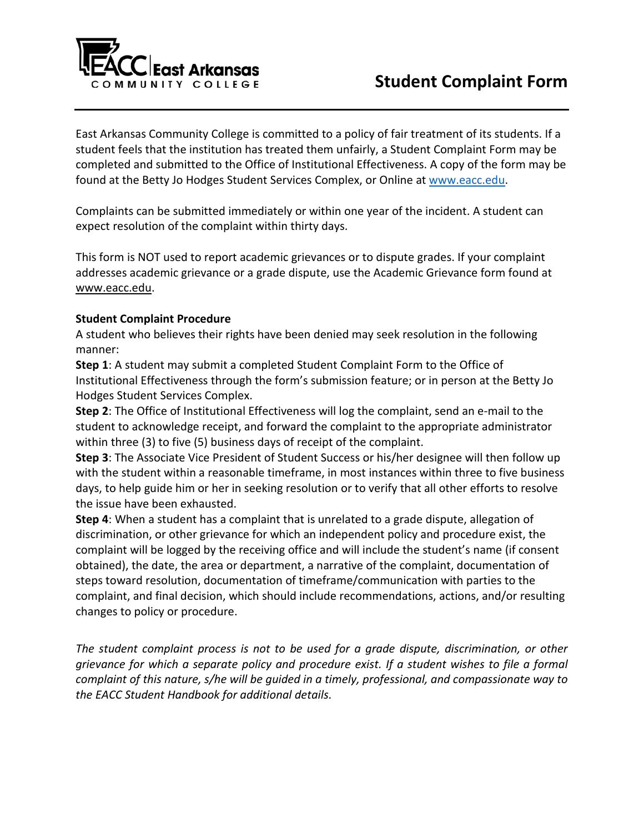

East Arkansas Community College is committed to a policy of fair treatment of its students. If a student feels that the institution has treated them unfairly, a Student Complaint Form may be completed and submitted to the Office of Institutional Effectiveness. A copy of the form may be found at the Betty Jo Hodges Student Services Complex, or Online at [www.eacc.edu.](http://www.eacc.edu/)

Complaints can be submitted immediately or within one year of the incident. A student can expect resolution of the complaint within thirty days.

This form is NOT used to report academic grievances or to dispute grades. If your complaint addresses academic grievance or a grade dispute, use the Academic Grievance form found at [www.eacc.edu.](http://www.eacc.edu/)

## **Student Complaint Procedure**

A student who believes their rights have been denied may seek resolution in the following manner:

**Step 1**: A student may submit a completed Student Complaint Form to the Office of Institutional Effectiveness through the form's submission feature; or in person at the Betty Jo Hodges Student Services Complex.

**Step 2**: The Office of Institutional Effectiveness will log the complaint, send an e-mail to the student to acknowledge receipt, and forward the complaint to the appropriate administrator within three (3) to five (5) business days of receipt of the complaint.

**Step 3**: The Associate Vice President of Student Success or his/her designee will then follow up with the student within a reasonable timeframe, in most instances within three to five business days, to help guide him or her in seeking resolution or to verify that all other efforts to resolve the issue have been exhausted.

**Step 4**: When a student has a complaint that is unrelated to a grade dispute, allegation of discrimination, or other grievance for which an independent policy and procedure exist, the complaint will be logged by the receiving office and will include the student's name (if consent obtained), the date, the area or department, a narrative of the complaint, documentation of steps toward resolution, documentation of timeframe/communication with parties to the complaint, and final decision, which should include recommendations, actions, and/or resulting changes to policy or procedure.

*The student complaint process is not to be used for a grade dispute, discrimination, or other grievance for which a separate policy and procedure exist. If a student wishes to file a formal complaint of this nature, s/he will be guided in a timely, professional, and compassionate way to the EACC Student Handbook for additional details.*